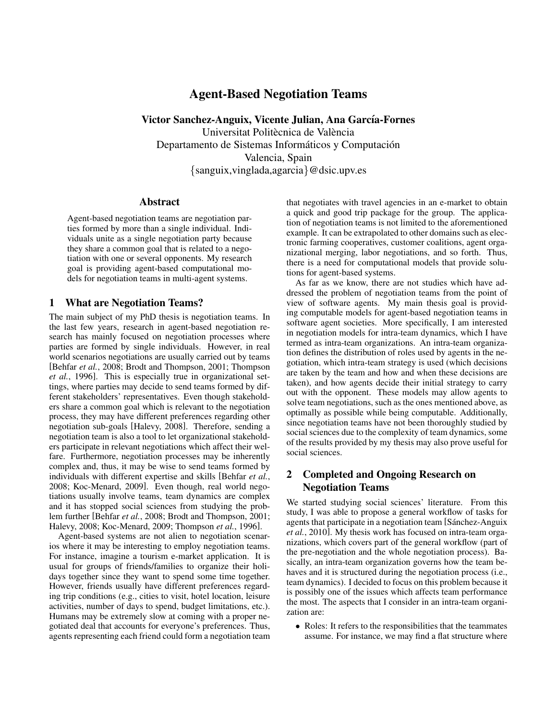# Agent-Based Negotiation Teams

Victor Sanchez-Anguix, Vicente Julian, Ana García-Fornes Universitat Politècnica de València Departamento de Sistemas Informáticos y Computación Valencia, Spain {sanguix,vinglada,agarcia}@dsic.upv.es

#### Abstract

Agent-based negotiation teams are negotiation parties formed by more than a single individual. Individuals unite as a single negotiation party because they share a common goal that is related to a negotiation with one or several opponents. My research goal is providing agent-based computational models for negotiation teams in multi-agent systems.

### 1 What are Negotiation Teams?

The main subject of my PhD thesis is negotiation teams. In the last few years, research in agent-based negotiation research has mainly focused on negotiation processes where parties are formed by single individuals. However, in real world scenarios negotiations are usually carried out by teams [Behfar *et al.*, 2008; Brodt and Thompson, 2001; Thompson *et al.*, 1996]. This is especially true in organizational settings, where parties may decide to send teams formed by different stakeholders' representatives. Even though stakeholders share a common goal which is relevant to the negotiation process, they may have different preferences regarding other negotiation sub-goals [Halevy, 2008]. Therefore, sending a negotiation team is also a tool to let organizational stakeholders participate in relevant negotiations which affect their welfare. Furthermore, negotiation processes may be inherently complex and, thus, it may be wise to send teams formed by individuals with different expertise and skills [Behfar *et al.*, 2008; Koc-Menard, 2009]. Even though, real world negotiations usually involve teams, team dynamics are complex and it has stopped social sciences from studying the problem further [Behfar *et al.*, 2008; Brodt and Thompson, 2001; Halevy, 2008; Koc-Menard, 2009; Thompson *et al.*, 1996].

Agent-based systems are not alien to negotiation scenarios where it may be interesting to employ negotiation teams. For instance, imagine a tourism e-market application. It is usual for groups of friends/families to organize their holidays together since they want to spend some time together. However, friends usually have different preferences regarding trip conditions (e.g., cities to visit, hotel location, leisure activities, number of days to spend, budget limitations, etc.). Humans may be extremely slow at coming with a proper negotiated deal that accounts for everyone's preferences. Thus, agents representing each friend could form a negotiation team that negotiates with travel agencies in an e-market to obtain a quick and good trip package for the group. The application of negotiation teams is not limited to the aforementioned example. It can be extrapolated to other domains such as electronic farming cooperatives, customer coalitions, agent organizational merging, labor negotiations, and so forth. Thus, there is a need for computational models that provide solutions for agent-based systems.

As far as we know, there are not studies which have addressed the problem of negotiation teams from the point of view of software agents. My main thesis goal is providing computable models for agent-based negotiation teams in software agent societies. More specifically, I am interested in negotiation models for intra-team dynamics, which I have termed as intra-team organizations. An intra-team organization defines the distribution of roles used by agents in the negotiation, which intra-team strategy is used (which decisions are taken by the team and how and when these decisions are taken), and how agents decide their initial strategy to carry out with the opponent. These models may allow agents to solve team negotiations, such as the ones mentioned above, as optimally as possible while being computable. Additionally, since negotiation teams have not been thoroughly studied by social sciences due to the complexity of team dynamics, some of the results provided by my thesis may also prove useful for social sciences.

## 2 Completed and Ongoing Research on Negotiation Teams

We started studying social sciences' literature. From this study, I was able to propose a general workflow of tasks for agents that participate in a negotiation team [Sánchez-Anguix *et al.*, 2010]. My thesis work has focused on intra-team organizations, which covers part of the general workflow (part of the pre-negotiation and the whole negotiation process). Basically, an intra-team organization governs how the team behaves and it is structured during the negotiation process (i.e., team dynamics). I decided to focus on this problem because it is possibly one of the issues which affects team performance the most. The aspects that I consider in an intra-team organization are:

• Roles: It refers to the responsibilities that the teammates assume. For instance, we may find a flat structure where